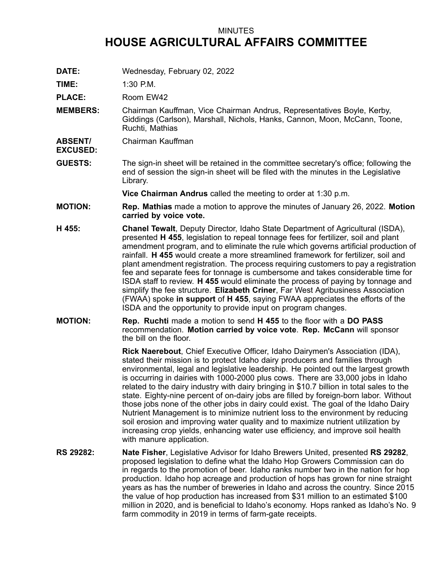## MINUTES **HOUSE AGRICULTURAL AFFAIRS COMMITTEE**

**DATE:** Wednesday, February 02, 2022

**TIME:** 1:30 P.M.

PLACE: Room EW42

- **MEMBERS:** Chairman Kauffman, Vice Chairman Andrus, Representatives Boyle, Kerby, Giddings (Carlson), Marshall, Nichols, Hanks, Cannon, Moon, McCann, Toone, Ruchti, Mathias
- **ABSENT/ EXCUSED:** Chairman Kauffman
- **GUESTS:** The sign-in sheet will be retained in the committee secretary's office; following the end of session the sign-in sheet will be filed with the minutes in the Legislative Library.

**Vice Chairman Andrus** called the meeting to order at 1:30 p.m.

- **MOTION: Rep. Mathias** made <sup>a</sup> motion to approve the minutes of January 26, 2022. **Motion carried by voice vote.**
- **H 455: Chanel Tewalt**, Deputy Director, Idaho State Department of Agricultural (ISDA), presented **H 455**, legislation to repeal tonnage fees for fertilizer, soil and plant amendment program, and to eliminate the rule which governs artificial production of rainfall. **H 455** would create <sup>a</sup> more streamlined framework for fertilizer, soil and plant amendment registration. The process requiring customers to pay <sup>a</sup> registration fee and separate fees for tonnage is cumbersome and takes considerable time for ISDA staff to review. **H 455** would eliminate the process of paying by tonnage and simplify the fee structure. **Elizabeth Criner**, Far West Agribusiness Association (FWAA) spoke **in support** of **H 455**, saying FWAA appreciates the efforts of the ISDA and the opportunity to provide input on program changes.
- **MOTION: Rep. Ruchti** made <sup>a</sup> motion to send **H 455** to the floor with <sup>a</sup> **DO PASS** recommendation. **Motion carried by voice vote**. **Rep. McCann** will sponsor the bill on the floor.

**Rick Naerebout**, Chief Executive Officer, Idaho Dairymen's Association (IDA), stated their mission is to protect Idaho dairy producers and families through environmental, legal and legislative leadership. He pointed out the largest growth is occurring in dairies with 1000-2000 plus cows. There are 33,000 jobs in Idaho related to the dairy industry with dairy bringing in \$10.7 billion in total sales to the state. Eighty-nine percent of on-dairy jobs are filled by foreign-born labor. Without those jobs none of the other jobs in dairy could exist. The goal of the Idaho Dairy Nutrient Management is to minimize nutrient loss to the environment by reducing soil erosion and improving water quality and to maximize nutrient utilization by increasing crop yields, enhancing water use efficiency, and improve soil health with manure application.

**RS 29282: Nate Fisher**, Legislative Advisor for Idaho Brewers United, presented **RS 29282**, proposed legislation to define what the Idaho Hop Growers Commission can do in regards to the promotion of beer. Idaho ranks number two in the nation for hop production. Idaho hop acreage and production of hops has grown for nine straight years as has the number of breweries in Idaho and across the country. Since 2015 the value of hop production has increased from \$31 million to an estimated \$100 million in 2020, and is beneficial to Idaho's economy. Hops ranked as Idaho's No. 9 farm commodity in 2019 in terms of farm-gate receipts.